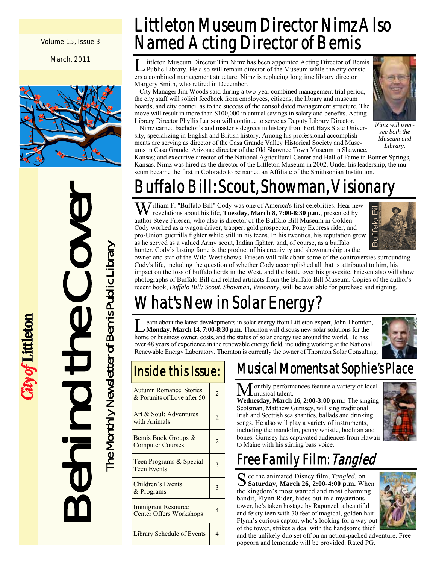Volume 15, Issue 3

March, 2011



Behind the Cover The Monthly Newsletter of Bemis Public Library The Monthly Newsletter of Bemis Public Library

ity of Littleton

Littleton Museum Director Nimz Also Named Acting Director of Bemis

L ittleton Museum Director Tim Nimz has been appointed Acting Director of Bemis Public Library. He also will remain director of the Museum while the city considers a combined management structure. Nimz is replacing longtime library director Margery Smith, who retired in December.

 City Manager Jim Woods said during a two-year combined management trial period, the city staff will solicit feedback from employees, citizens, the library and museum boards, and city council as to the success of the consolidated management structure. The move will result in more than \$100,000 in annual savings in salary and benefits. Acting Library Director Phyllis Larison will continue to serve as Deputy Library Director.

 Nimz earned bachelor's and master's degrees in history from Fort Hays State University, specializing in English and British history. Among his professional accomplishments are serving as director of the Casa Grande Valley Historical Society and Museums in Casa Grande, Arizona; director of the Old Shawnee Town Museum in Shawnee,



*Nimz will oversee both the Museum and Library.* 

Kansas; and executive director of the National Agricultural Center and Hall of Fame in Bonner Springs, Kansas. Nimz was hired as the director of the Littleton Museum in 2002. Under his leadership, the museum became the first in Colorado to be named an Affiliate of the Smithsonian Institution.

## Buffalo Bill: Scout, Showman, Visionary

W illiam F. "Buffalo Bill" Cody was one of America's first celebrities. Hear new revelations about his life, **Tuesday, March 8, 7:00-8:30 p.m.**, presented by author Steve Friesen, who also is director of the Buffalo Bill Museum in Golden. Cody worked as a wagon driver, trapper, gold prospector, Pony Express rider, and pro-Union guerrilla fighter while still in his teens. In his twenties, his reputation grew as he served as a valued Army scout, Indian fighter, and, of course, as a buffalo hunter. Cody's lasting fame is the product of his creativity and showmanship as the



owner and star of the Wild West shows. Friesen will talk about some of the controversies surrounding Cody's life, including the question of whether Cody accomplished all that is attributed to him, his impact on the loss of buffalo herds in the West, and the battle over his gravesite. Friesen also will show photographs of Buffalo Bill and related artifacts from the Buffalo Bill Museum. Copies of the author's recent book, *Buffalo Bill: Scout, Showman, Visionary*, will be available for purchase and signing.

## What's New in Solar Energy?

L earn about the latest developments in solar energy from Littleton expert, John Thornton, **Monday, March 14, 7:00-8:30 p.m.** Thornton will discuss new solar solutions for the home or business owner, costs, and the status of solar energy use around the world. He has over 48 years of experience in the renewable energy field, including working at the National Renewable Energy Laboratory. Thornton is currently the owner of Thornton Solar Consulting.



## Inside this Issue:

| <b>Autumn Romance: Stories</b><br>& Portraits of Love after 50 | 2 |
|----------------------------------------------------------------|---|
| Art & Soul: Adventures<br>with Animals                         | 2 |
| Bemis Book Groups &<br><b>Computer Courses</b>                 |   |
| Teen Programs & Special<br><b>Teen Events</b>                  |   |
| Children's Events<br>& Programs                                |   |
| Immigrant Resource<br><b>Center Offers Workshops</b>           | 4 |
| Library Schedule of Events                                     |   |

## Musical Moments at Sophie's Place

M onthly performances feature a variety of local

**Wednesday, March 16, 2:00-3:00 p.m.:** The singing Scotsman, Matthew Gurnsey, will sing traditional Irish and Scottish sea shanties, ballads and drinking songs. He also will play a variety of instruments, including the mandolin, penny whistle, bodhran and bones. Gurnsey has captivated audiences from Hawaii to Maine with his stirring bass voice.



## Free Family Film: Tangled

S ee the animated Disney film, *Tangled*, on **Saturday, March 26, 2:00-4:00 p.m.** When the kingdom's most wanted and most charming bandit, Flynn Rider, hides out in a mysterious tower, he's taken hostage by Rapunzel, a beautiful and feisty teen with 70 feet of magical, golden hair. Flynn's curious captor, who's looking for a way out of the tower, strikes a deal with the handsome thief



and the unlikely duo set off on an action-packed adventure. Free popcorn and lemonade will be provided. Rated PG.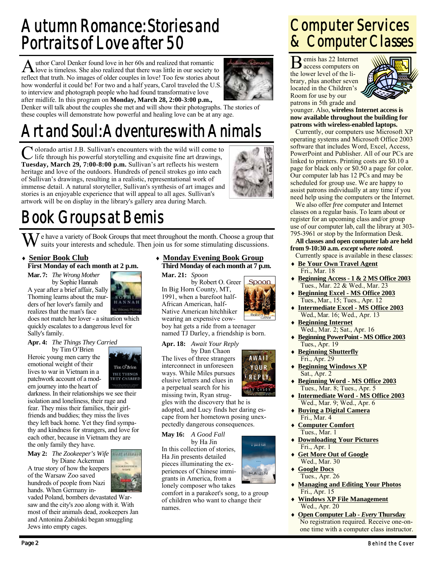## Autumn Romance: Stories and Portraits of Love after 50

A uthor Carol Denker found love in her 60s and realized that romantic love is timeless. She also realized that there was little in our society to reflect that truth. No images of older couples in love! Too few stories about how wonderful it could be! For two and a half years, Carol traveled the U.S. to interview and photograph people who had found transformative love after midlife. In this program on **Monday, March 28, 2:00-3:00 p.m.,** 



Denker will talk about the couples she met and will show their photographs. The stories of these couples will demonstrate how powerful and healing love can be at any age.

## Art and Soul: Adventures with Animals

**V** olorado artist J.B. Sullivan's encounters with the wild will come to life through his powerful storytelling and exquisite fine art drawings, **Tuesday, March 29, 7:00-8:00 p.m.** Sullivan's art reflects his western heritage and love of the outdoors. Hundreds of pencil strokes go into each of Sullivan's drawings, resulting in a realistic, representational work of immense detail. A natural storyteller, Sullivan's synthesis of art images and stories is an enjoyable experience that will appeal to all ages. Sullivan's artwork will be on display in the library's gallery area during March.



## Book Groups at Bemis

 $\mathbf{W}$  e have a variety of Book Groups that meet throughout the month. Choose a group that suits your interests and schedule. Then join us for some stimulating discussions.

 **Senior Book Club First Monday of each month at 2 p.m.** 

**Mar. 7:** *The Wrong Mother*  by Sophie Hannah A year after a brief affair, Sally Thorning learns about the murders of her lover's family and



realizes that the man's face does not match her lover - a situation which quickly escalates to a dangerous level for Sally's family.

### **Apr. 4:** *The Things They Carried*

by Tim O'Brien Heroic young men carry the emotional weight of their lives to war in Vietnam in a patchwork account of a modern journey into the heart of



darkness. In their relationships we see their isolation and loneliness, their rage and fear. They miss their families, their girlfriends and buddies; they miss the lives they left back home. Yet they find sympathy and kindness for strangers, and love for each other, because in Vietnam they are the only family they have.

**May 2:** *The Zookeeper's Wife* 

 by Diane Ackerman A true story of how the keepers of the Warsaw Zoo saved hundreds of people from Nazi hands. When Germany in-



vaded Poland, bombers devastated Warsaw and the city's zoo along with it. With most of their animals dead, zookeepers Jan and Antonina Żabiński began smuggling Jews into empty cages.

### **Monday Evening Book Group Third Monday of each month at 7 p.m.**

**Mar. 21:** *Spoon* 

by Robert O. Greer In Big Horn County, MT, 1991, when a barefoot half-African American, half-Native American hitchhiker wearing an expensive cow-



boy hat gets a ride from a teenager named TJ Darley, a friendship is born.

### **Apr. 18:** *Await Your Reply*

by Dan Chaon The lives of three strangers interconnect in unforeseen ways. While Miles pursues elusive letters and clues in a perpetual search for his missing twin, Ryan strug-

**AWAIT** YUUR REPLY **ANCHAON** 

a good fall

HA JIN

gles with the discovery that he is adopted, and Lucy finds her daring escape from her hometown posing unexpectedly dangerous consequences.

### **May 16:** *A Good Fall*

by Ha Jin In this collection of stories, Ha Jin presents detailed pieces illuminating the experiences of Chinese immigrants in America, from a lonely composer who takes

comfort in a parakeet's song, to a group of children who want to change their names.

## Computer Services & Computer Classes

B emis has 22 Internet access computers on the lower level of the library, plus another seven located in the Children's Room for use by our patrons in 5th grade and



younger. Also, **wireless Internet access is now available throughout the building for patrons with wireless-enabled laptops.**

 Currently, our computers use Microsoft XP operating systems and Microsoft Office 2003 software that includes Word, Excel, Access, PowerPoint and Publisher. All of our PCs are linked to printers. Printing costs are \$0.10 a page for black only or \$0.50 a page for color. Our computer lab has 12 PCs and may be scheduled for group use. We are happy to assist patrons individually at any time if you need help using the computers or the Internet.

 We also offer *free* computer and Internet classes on a regular basis. To learn about or register for an upcoming class and/or group use of our computer lab, call the library at 303- 795-3961 or stop by the Information Desk.

### **All classes and open computer lab are held from 9-10:30 a.m.** *except where noted.*

- Currently space is available in these classes: **Be Your Own Travel Agent**
- Fri., Mar. 18 **Beginning Access - 1 & 2 MS Office 2003** Tues., Mar. 22 & Wed., Mar. 23
- **Beginning Excel MS Office 2003** Tues., Mar., 15; Tues., Apr. 12
- **Intermediate Excel MS Office 2003** Wed., Mar. 16; Wed., Apr. 13
- **Beginning Internet** Wed., Mar. 2; Sat., Apr. 16
- **Beginning PowerPoint MS Office 2003** Tues., Apr. 19
- **Beginning Shutterfly** Fri., Apr. 29
- **Beginning Windows XP** Sat., Apr. 2
- **Beginning Word MS Office 2003** Tues., Mar. 8; Tues., Apr. 5
- **Intermediate Word MS Office 2003** Wed., Mar. 9; Wed., Apr. 6
- **Buying a Digital Camera** Fri., Mar. 4
- **Computer Comfort** Tues., Mar. 1
- **Downloading Your Pictures** Fri., Apr. 1
- **Get More Out of Google** Wed., Mar. 30
- **Google Docs** Tues., Apr. 26
- **Managing and Editing Your Photos** Fri., Apr. 15
- **Windows XP File Management** Wed., Apr. 20
- **Open Computer Lab** *Every* **Thursday** No registration required. Receive one-onone time with a computer class instructor.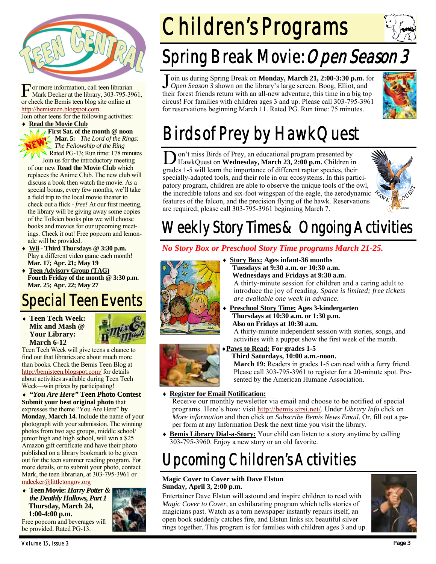

F or more information, call teen librarian Mark Decker at the library, 303-795-3961, or check the Bemis teen blog site online at http://bemisteen.blogspot.com.

Join other teens for the following activities: **Read the Movie Club**

**A First Sat. of the month @ noon Mar. 5:** *The Lord of the Rings: The Fellowship of the Ring*  Rated PG-13; Run time: 178 minutes Join us for the introductory meeting of our new **Read the Movie Club** which replaces the Anime Club. The new club will discuss a book then watch the movie. As a special bonus, every few months, we'll take a field trip to the local movie theater to check out a flick - *free!* At our first meeting, the library will be giving away some copies of the Tolkien books plus we will choose books and movies for our upcoming meetings. Check it out! Free popcorn and lemonade will be provided.

- **Wii Third Thursdays @ 3:30 p.m.**  Play a different video game each month! **Mar. 17; Apr. 21; May 19**
- **Teen Advisory Group (TAG) Fourth Friday of the month @ 3:30 p.m. Mar. 25; Apr. 22; May 27**

## Special Teen Events

### **Teen Tech Week: Mix and Mash @ Your Library: March 6-12**

Teen Tech Week will give teens a chance to find out that libraries are about much more than books. Check the Bemis Teen Blog at http://bemisteen.blogspot.com/ for details about activities available during Teen Tech Week—win prizes by participating!

 *"You Are Here"* **Teen Photo Contest Submit your best original photo** that expresses the theme "You Are Here" **by Monday, March 14.** Include the name of your photograph with your submission. The winning photos from two age groups, middle school/ junior high and high school, will win a \$25 Amazon gift certificate and have their photo published on a library bookmark to be given out for the teen summer reading program. For more details, or to submit your photo, contact Mark, the teen librarian, at 303-795-3961 or mdecker@littletongov.org

 **Teen Movie:** *Harry Potter & the Deathly Hallows, Part 1* **Thursday***,* **March 24, 1:00-4:00 p.m.** 

Free popcorn and beverages will be provided. Rated PG-13.



# Children's Programs

## Spring Break Movie: Open Season 3

J oin us during Spring Break on **Monday, March 21, 2:00-3:30 p.m.** for *Open Season 3* shown on the library's large screen. Boog, Elliot, and their forest friends return with an all-new adventure, this time in a big top circus! For families with children ages 3 and up. Please call 303-795-3961 for reservations beginning March 11. Rated PG. Run time: 75 minutes.



## Birds of Prey by HawkQuest

D on't miss Birds of Prey, an educational program presented by HawkQuest on **Wednesday, March 23, 2:00 p.m.** Children in grades 1-5 will learn the importance of different raptor species, their specially-adapted tools, and their role in our ecosystems. In this participatory program, children are able to observe the unique tools of the owl, patory program, children are able to boson to the eagle, the aerodynamic  $\mathcal{A}_{N_{\mathcal{K}}}$ <br>the incredible talons and six-foot wingspan of the eagle, the aerodynamic  $\mathcal{A}_{N_{\mathcal{K}}}$ features of the falcon, and the precision flying of the hawk. Reservations are required; please call 303-795-3961 beginning March 7.



## Weekly Story Times & Ongoing Activities

### *No Story Box or Preschool Story Time programs March 21-25.*



 **Story Box: Ages infant-36 months Tuesdays at 9:30 a.m. or 10:30 a.m. Wednesdays and Fridays at 9:30 a.m.**  A thirty-minute session for children and a caring adult to

introduce the joy of reading. *Space is limited; free tickets are available one week in advance.* 

 **Preschool Story Time: Ages 3-kindergarten Thursdays at 10:30 a.m. or 1:30 p.m. Also on Fridays at 10:30 a.m.** 

A thirty-minute independent session with stories, songs, and activities with a puppet show the first week of the month.



### **Paws to Read: For grades 1-5**

 **Third Saturdays, 10:00 a.m.-noon. March 19:** Readers in grades 1-5 can read with a furry friend. Please call 303-795-3961 to register for a 20-minute spot. Presented by the American Humane Association.

**Register for Email Notification:**

Receive our monthly newsletter via email and choose to be notified of special programs. Here's how: visit http://bemis.sirsi.net/. Under *Library Info* click on *More information* and then click on *Subscribe Bemis News Email*. Or, fill out a paper form at any Information Desk the next time you visit the library.

 **Bemis Library Dial-a-Story:** Your child can listen to a story anytime by calling 303-795-3960. Enjoy a new story or an old favorite.

## Upcoming Children's Activities

### **Magic Cover to Cover with Dave Elstun Sunday, April 3, 2:00 p.m.**

Entertainer Dave Elstun will astound and inspire children to read with *Magic Cover to Cover,* an exhilarating program which tells stories of magicians past. Watch as a torn newspaper instantly repairs itself, an open book suddenly catches fire, and Elstun links six beautiful silver rings together. This program is for families with children ages 3 and up.